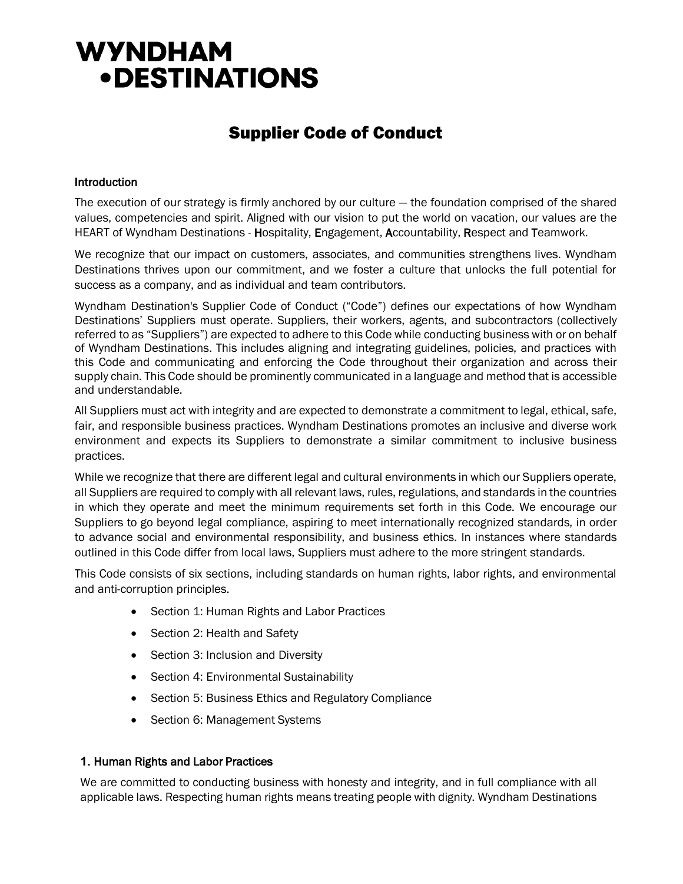# **WYNDHAM • DESTINATIONS**

# Supplier Code of Conduct

# Introduction

The execution of our strategy is firmly anchored by our culture — the foundation comprised of the shared values, competencies and spirit. Aligned with our vision to put the world on vacation, our values are the HEART of Wyndham Destinations - Hospitality, Engagement, Accountability, Respect and Teamwork.

We recognize that our impact on customers, associates, and communities strengthens lives. Wyndham Destinations thrives upon our commitment, and we foster a culture that unlocks the full potential for success as a company, and as individual and team contributors.

Wyndham Destination's Supplier Code of Conduct ("Code") defines our expectations of how Wyndham Destinations' Suppliers must operate. Suppliers, their workers, agents, and subcontractors (collectively referred to as "Suppliers") are expected to adhere to this Code while conducting business with or on behalf of Wyndham Destinations. This includes aligning and integrating guidelines, policies, and practices with this Code and communicating and enforcing the Code throughout their organization and across their supply chain. This Code should be prominently communicated in a language and method that is accessible and understandable.

All Suppliers must act with integrity and are expected to demonstrate a commitment to legal, ethical, safe, fair, and responsible business practices. Wyndham Destinations promotes an inclusive and diverse work environment and expects its Suppliers to demonstrate a similar commitment to inclusive business practices.

While we recognize that there are different legal and cultural environments in which our Suppliers operate, all Suppliers are required to comply with all relevant laws, rules, regulations, and standards in the countries in which they operate and meet the minimum requirements set forth in this Code. We encourage our Suppliers to go beyond legal compliance, aspiring to meet internationally recognized standards, in order to advance social and environmental responsibility, and business ethics. In instances where standards outlined in this Code differ from local laws, Suppliers must adhere to the more stringent standards.

This Code consists of six sections, including standards on human rights, labor rights, and environmental and anti-corruption principles.

- Section 1: Human Rights and Labor Practices
- Section 2: Health and Safety
- Section 3: Inclusion and Diversity
- Section 4: Environmental Sustainability
- Section 5: Business Ethics and Regulatory Compliance
- Section 6: Management Systems

#### **1.** Human Rights and Labor Practices

We are committed to conducting business with honesty and integrity, and in full compliance with all applicable laws. Respecting human rights means treating people with dignity. Wyndham Destinations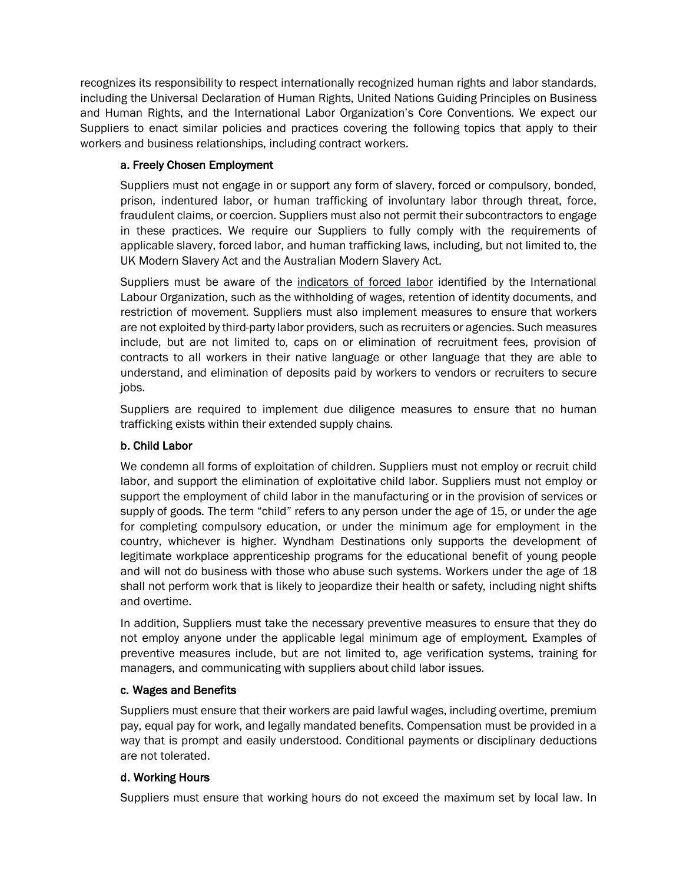recognizes its responsibility to respect internationally recognized human rights and labor standards, including the Universal Declaration of Human Rights, United Nations Guiding Principles on Business and Human Rights, and the International Labor Organization's Core Conventions. We expect our Suppliers to enact similar policies and practices covering the following topics that apply to their workers and business relationships, including contract workers.

# a. Freely Chosen Employment

Suppliers must not engage in or support any form of slavery, forced or compulsory, bonded, prison, indentured labor, or human trafficking of involuntary labor through threat, force, fraudulent claims, or coercion. Suppliers must also not permit their subcontractors to engage in these practices. We require our Suppliers to fully comply with the requirements of applicable slavery, forced labor, and human trafficking laws, including, but not limited to, the UK Modern Slavery Act and the Australian Modern Slavery Act.

Suppliers must be aware of the indicators of forced labor identified by the International Labour Organization, such as the withholding of wages, retention of identity documents, and restriction of movement. Suppliers must also implement measures to ensure that workers are not exploited by third-party labor providers, such as recruiters or agencies. Such measures include, but are not limited to, caps on or elimination of recruitment fees, provision of contracts to all workers in their native language or other language that they are able to understand, and elimination of deposits paid by workers to vendors or recruiters to secure jobs.

Suppliers are required to implement due diligence measures to ensure that no human trafficking exists within their extended supply chains.

# b. Child Labor

We condemn all forms of exploitation of children. Suppliers must not employ or recruit child labor, and support the elimination of exploitative child labor. Suppliers must not employ or support the employment of child labor in the manufacturing or in the provision of services or supply of goods. The term "child" refers to any person under the age of 15, or under the age for completing compulsory education, or under the minimum age for employment in the country, whichever is higher. Wyndham Destinations only supports the development of legitimate workplace apprenticeship programs for the educational benefit of young people and will not do business with those who abuse such systems. Workers under the age of 18 shall not perform work that is likely to jeopardize their health or safety, including night shifts and overtime.

In addition, Suppliers must take the necessary preventive measures to ensure that they do not employ anyone under the applicable legal minimum age of employment. Examples of preventive measures include, but are not limited to, age verification systems, training for managers, and communicating with suppliers about child labor issues.

#### c. Wages and Benefits

Suppliers must ensure that their workers are paid lawful wages, including overtime, premium pay, equal pay for work, and legally mandated benefits. Compensation must be provided in a way that is prompt and easily understood. Conditional payments or disciplinary deductions are not tolerated.

# d. Working Hours

Suppliers must ensure that working hours do not exceed the maximum set by local law. In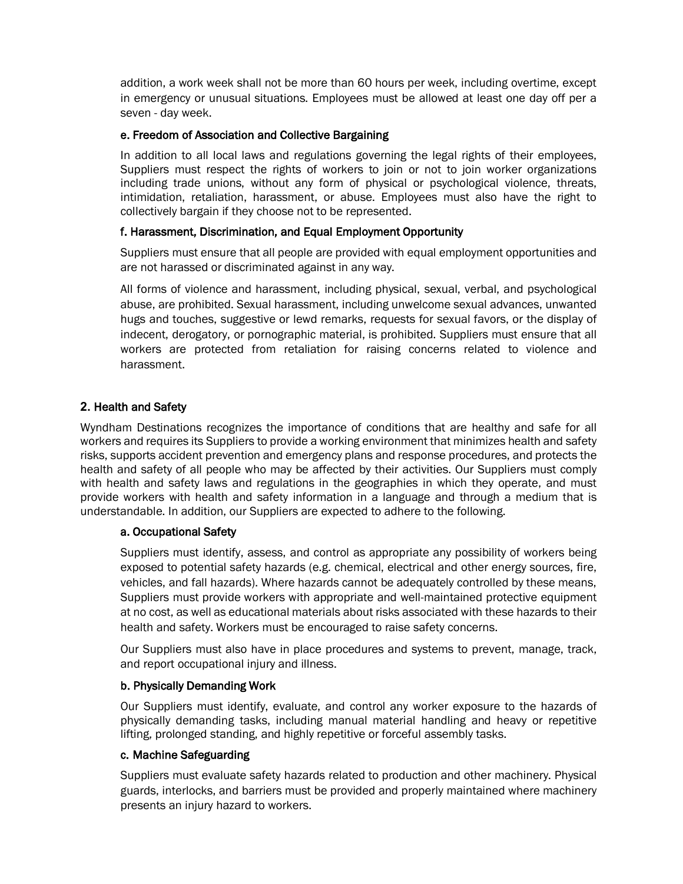addition, a work week shall not be more than 60 hours per week, including overtime, except in emergency or unusual situations. Employees must be allowed at least one day off per a seven - day week.

#### e. Freedom of Association and Collective Bargaining

In addition to all local laws and regulations governing the legal rights of their employees, Suppliers must respect the rights of workers to join or not to join worker organizations including trade unions, without any form of physical or psychological violence, threats, intimidation, retaliation, harassment, or abuse. Employees must also have the right to collectively bargain if they choose not to be represented.

# f. Harassment, Discrimination, and Equal Employment Opportunity

Suppliers must ensure that all people are provided with equal employment opportunities and are not harassed or discriminated against in any way.

All forms of violence and harassment, including physical, sexual, verbal, and psychological abuse, are prohibited. Sexual harassment, including unwelcome sexual advances, unwanted hugs and touches, suggestive or lewd remarks, requests for sexual favors, or the display of indecent, derogatory, or pornographic material, is prohibited. Suppliers must ensure that all workers are protected from retaliation for raising concerns related to violence and harassment.

# **2.** Health and Safety

Wyndham Destinations recognizes the importance of conditions that are healthy and safe for all workers and requires its Suppliers to provide a working environment that minimizes health and safety risks, supports accident prevention and emergency plans and response procedures, and protects the health and safety of all people who may be affected by their activities. Our Suppliers must comply with health and safety laws and regulations in the geographies in which they operate, and must provide workers with health and safety information in a language and through a medium that is understandable. In addition, our Suppliers are expected to adhere to the following.

#### a. Occupational Safety

Suppliers must identify, assess, and control as appropriate any possibility of workers being exposed to potential safety hazards (e.g. chemical, electrical and other energy sources, fire, vehicles, and fall hazards). Where hazards cannot be adequately controlled by these means, Suppliers must provide workers with appropriate and well-maintained protective equipment at no cost, as well as educational materials about risks associated with these hazards to their health and safety. Workers must be encouraged to raise safety concerns.

Our Suppliers must also have in place procedures and systems to prevent, manage, track, and report occupational injury and illness.

#### b. Physically Demanding Work

Our Suppliers must identify, evaluate, and control any worker exposure to the hazards of physically demanding tasks, including manual material handling and heavy or repetitive lifting, prolonged standing, and highly repetitive or forceful assembly tasks.

#### c. Machine Safeguarding

Suppliers must evaluate safety hazards related to production and other machinery. Physical guards, interlocks, and barriers must be provided and properly maintained where machinery presents an injury hazard to workers.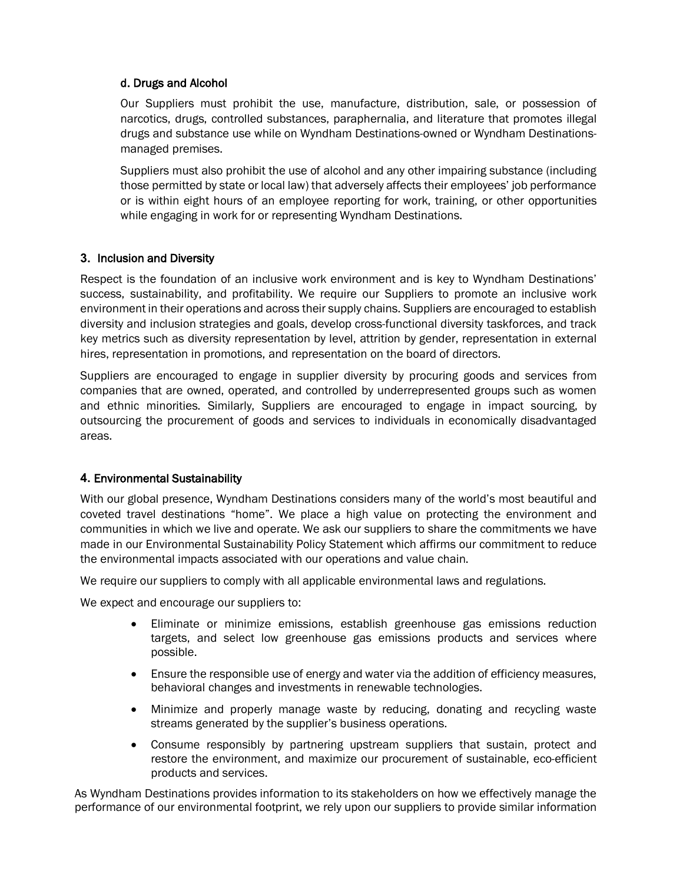# d. Drugs and Alcohol

Our Suppliers must prohibit the use, manufacture, distribution, sale, or possession of narcotics, drugs, controlled substances, paraphernalia, and literature that promotes illegal drugs and substance use while on Wyndham Destinations-owned or Wyndham Destinationsmanaged premises.

Suppliers must also prohibit the use of alcohol and any other impairing substance (including those permitted by state or local law) that adversely affects their employees' job performance or is within eight hours of an employee reporting for work, training, or other opportunities while engaging in work for or representing Wyndham Destinations.

# **3.** Inclusion and Diversity

Respect is the foundation of an inclusive work environment and is key to Wyndham Destinations' success, sustainability, and profitability. We require our Suppliers to promote an inclusive work environment in their operations and across their supply chains. Suppliers are encouraged to establish diversity and inclusion strategies and goals, develop cross-functional diversity taskforces, and track key metrics such as diversity representation by level, attrition by gender, representation in external hires, representation in promotions, and representation on the board of directors.

Suppliers are encouraged to engage in supplier diversity by procuring goods and services from companies that are owned, operated, and controlled by underrepresented groups such as women and ethnic minorities. Similarly, Suppliers are encouraged to engage in impact sourcing, by outsourcing the procurement of goods and services to individuals in economically disadvantaged areas.

# **4.** Environmental Sustainability

With our global presence, Wyndham Destinations considers many of the world's most beautiful and coveted travel destinations "home". We place a high value on protecting the environment and communities in which we live and operate. We ask our suppliers to share the commitments we have made in our Environmental Sustainability Policy Statement which affirms our commitment to reduce the environmental impacts associated with our operations and value chain.

We require our suppliers to comply with all applicable environmental laws and regulations.

We expect and encourage our suppliers to:

- Eliminate or minimize emissions, establish greenhouse gas emissions reduction targets, and select low greenhouse gas emissions products and services where possible.
- Ensure the responsible use of energy and water via the addition of efficiency measures, behavioral changes and investments in renewable technologies.
- Minimize and properly manage waste by reducing, donating and recycling waste streams generated by the supplier's business operations.
- Consume responsibly by partnering upstream suppliers that sustain, protect and restore the environment, and maximize our procurement of sustainable, eco-efficient products and services.

As Wyndham Destinations provides information to its stakeholders on how we effectively manage the performance of our environmental footprint, we rely upon our suppliers to provide similar information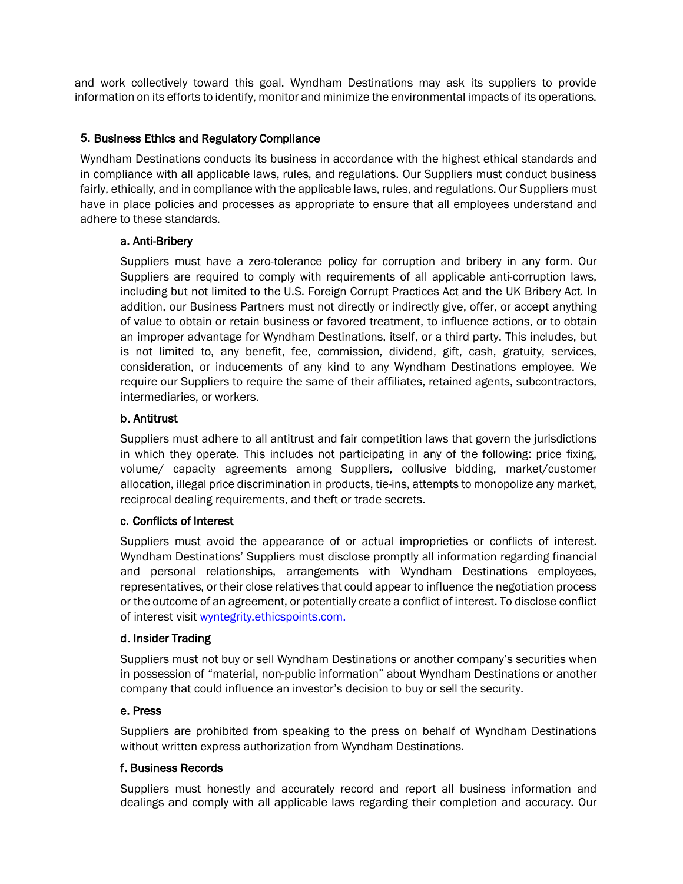and work collectively toward this goal. Wyndham Destinations may ask its suppliers to provide information on its efforts to identify, monitor and minimize the environmental impacts of its operations.

# **5.** Business Ethics and Regulatory Compliance

Wyndham Destinations conducts its business in accordance with the highest ethical standards and in compliance with all applicable laws, rules, and regulations. Our Suppliers must conduct business fairly, ethically, and in compliance with the applicable laws, rules, and regulations. Our Suppliers must have in place policies and processes as appropriate to ensure that all employees understand and adhere to these standards.

#### a. Anti-Bribery

Suppliers must have a zero-tolerance policy for corruption and bribery in any form. Our Suppliers are required to comply with requirements of all applicable anti-corruption laws, including but not limited to the U.S. Foreign Corrupt Practices Act and the UK Bribery Act. In addition, our Business Partners must not directly or indirectly give, offer, or accept anything of value to obtain or retain business or favored treatment, to influence actions, or to obtain an improper advantage for Wyndham Destinations, itself, or a third party. This includes, but is not limited to, any benefit, fee, commission, dividend, gift, cash, gratuity, services, consideration, or inducements of any kind to any Wyndham Destinations employee. We require our Suppliers to require the same of their affiliates, retained agents, subcontractors, intermediaries, or workers.

# b. Antitrust

Suppliers must adhere to all antitrust and fair competition laws that govern the jurisdictions in which they operate. This includes not participating in any of the following: price fixing, volume/ capacity agreements among Suppliers, collusive bidding, market/customer allocation, illegal price discrimination in products, tie-ins, attempts to monopolize any market, reciprocal dealing requirements, and theft or trade secrets.

#### c. Conflicts of Interest

Suppliers must avoid the appearance of or actual improprieties or conflicts of interest. Wyndham Destinations' Suppliers must disclose promptly all information regarding financial and personal relationships, arrangements with Wyndham Destinations employees, representatives, or their close relatives that could appear to influence the negotiation process or the outcome of an agreement, or potentially create a conflict of interest. To disclose conflict of interest visit wyntegrity.ethicspoints.com.

#### d. Insider Trading

Suppliers must not buy or sell Wyndham Destinations or another company's securities when in possession of "material, non-public information" about Wyndham Destinations or another company that could influence an investor's decision to buy or sell the security.

#### e. Press

Suppliers are prohibited from speaking to the press on behalf of Wyndham Destinations without written express authorization from Wyndham Destinations.

#### f. Business Records

Suppliers must honestly and accurately record and report all business information and dealings and comply with all applicable laws regarding their completion and accuracy. Our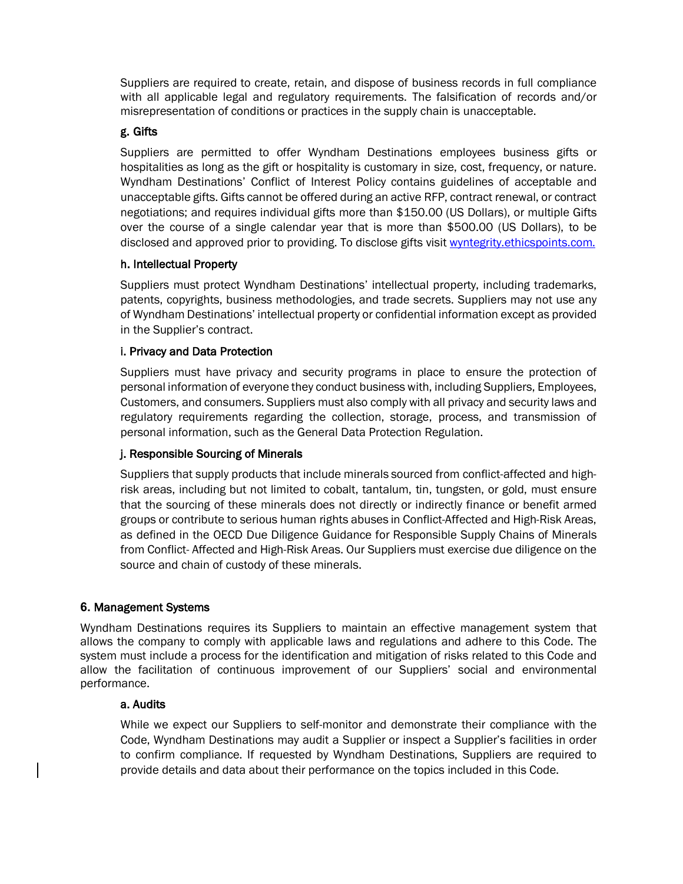Suppliers are required to create, retain, and dispose of business records in full compliance with all applicable legal and regulatory requirements. The falsification of records and/or misrepresentation of conditions or practices in the supply chain is unacceptable.

#### g. Gifts

Suppliers are permitted to offer Wyndham Destinations employees business gifts or hospitalities as long as the gift or hospitality is customary in size, cost, frequency, or nature. Wyndham Destinations' Conflict of Interest Policy contains guidelines of acceptable and unacceptable gifts. Gifts cannot be offered during an active RFP, contract renewal, or contract negotiations; and requires individual gifts more than \$150.00 (US Dollars), or multiple Gifts over the course of a single calendar year that is more than \$500.00 (US Dollars), to be disclosed and approved prior to providing. To disclose gifts visit wyntegrity.ethicspoints.com.

# h. Intellectual Property

Suppliers must protect Wyndham Destinations' intellectual property, including trademarks, patents, copyrights, business methodologies, and trade secrets. Suppliers may not use any of Wyndham Destinations' intellectual property or confidential information except as provided in the Supplier's contract.

# i. Privacy and Data Protection

Suppliers must have privacy and security programs in place to ensure the protection of personal information of everyone they conduct business with, including Suppliers, Employees, Customers, and consumers. Suppliers must also comply with all privacy and security laws and regulatory requirements regarding the collection, storage, process, and transmission of personal information, such as the General Data Protection Regulation.

#### j. Responsible Sourcing of Minerals

Suppliers that supply products that include minerals sourced from conflict-affected and highrisk areas, including but not limited to cobalt, tantalum, tin, tungsten, or gold, must ensure that the sourcing of these minerals does not directly or indirectly finance or benefit armed groups or contribute to serious human rights abuses in Conflict-Affected and High-Risk Areas, as defined in the OECD Due Diligence Guidance for Responsible Supply Chains of Minerals from Conflict- Affected and High-Risk Areas. Our Suppliers must exercise due diligence on the source and chain of custody of these minerals.

#### **6.** Management Systems

Wyndham Destinations requires its Suppliers to maintain an effective management system that allows the company to comply with applicable laws and regulations and adhere to this Code. The system must include a process for the identification and mitigation of risks related to this Code and allow the facilitation of continuous improvement of our Suppliers' social and environmental performance.

#### a. Audits

While we expect our Suppliers to self-monitor and demonstrate their compliance with the Code, Wyndham Destinations may audit a Supplier or inspect a Supplier's facilities in order to confirm compliance. If requested by Wyndham Destinations, Suppliers are required to provide details and data about their performance on the topics included in this Code.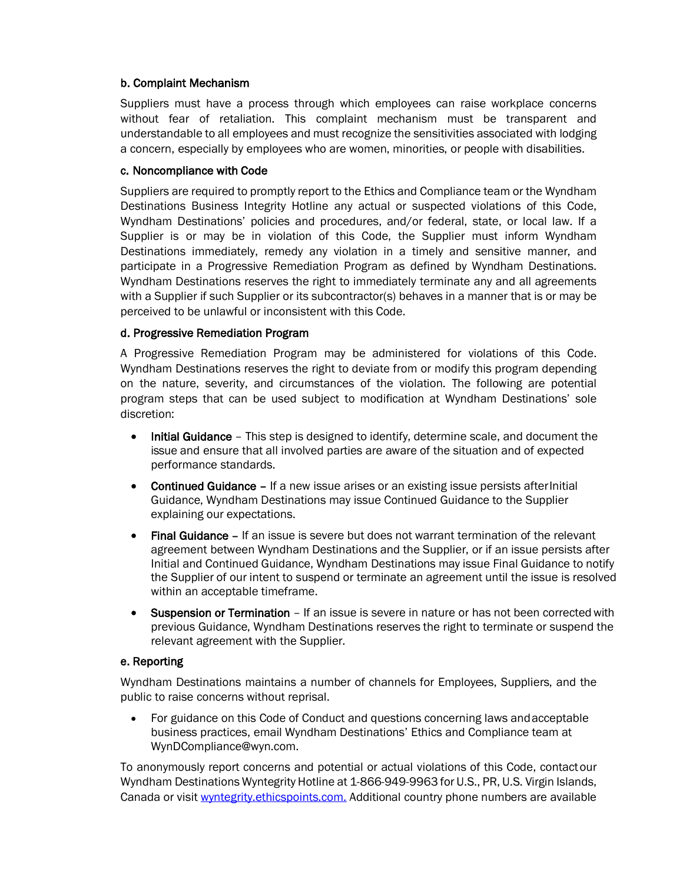#### b. Complaint Mechanism

Suppliers must have a process through which employees can raise workplace concerns without fear of retaliation. This complaint mechanism must be transparent and understandable to all employees and must recognize the sensitivities associated with lodging a concern, especially by employees who are women, minorities, or people with disabilities.

# c. Noncompliance with Code

Suppliers are required to promptly report to the Ethics and Compliance team or the Wyndham Destinations Business Integrity Hotline any actual or suspected violations of this Code, Wyndham Destinations' policies and procedures, and/or federal, state, or local law. If a Supplier is or may be in violation of this Code, the Supplier must inform Wyndham Destinations immediately, remedy any violation in a timely and sensitive manner, and participate in a Progressive Remediation Program as defined by Wyndham Destinations. Wyndham Destinations reserves the right to immediately terminate any and all agreements with a Supplier if such Supplier or its subcontractor(s) behaves in a manner that is or may be perceived to be unlawful or inconsistent with this Code.

# d. Progressive Remediation Program

A Progressive Remediation Program may be administered for violations of this Code. Wyndham Destinations reserves the right to deviate from or modify this program depending on the nature, severity, and circumstances of the violation. The following are potential program steps that can be used subject to modification at Wyndham Destinations' sole discretion:

- Initial Guidance This step is designed to identify, determine scale, and document the issue and ensure that all involved parties are aware of the situation and of expected performance standards.
- Continued Guidance If a new issue arises or an existing issue persists afterInitial Guidance, Wyndham Destinations may issue Continued Guidance to the Supplier explaining our expectations.
- Final Guidance If an issue is severe but does not warrant termination of the relevant agreement between Wyndham Destinations and the Supplier, or if an issue persists after Initial and Continued Guidance, Wyndham Destinations may issue Final Guidance to notify the Supplier of our intent to suspend or terminate an agreement until the issue is resolved within an acceptable timeframe.
- **Suspension or Termination** If an issue is severe in nature or has not been corrected with previous Guidance, Wyndham Destinations reserves the right to terminate or suspend the relevant agreement with the Supplier.

# e. Reporting

Wyndham Destinations maintains a number of channels for Employees, Suppliers, and the public to raise concerns without reprisal.

• For guidance on this Code of Conduct and questions concerning laws andacceptable business practices, email Wyndham Destinations' Ethics and Compliance team at WynDCompliance@wyn.com.

To anonymously report concerns and potential or actual violations of this Code, contactour Wyndham Destinations Wyntegrity Hotline at 1-866-949-9963 for U.S., PR, U.S. Virgin Islands, Canada or visit wyntegrity.ethicspoints.com. Additional country phone numbers are available